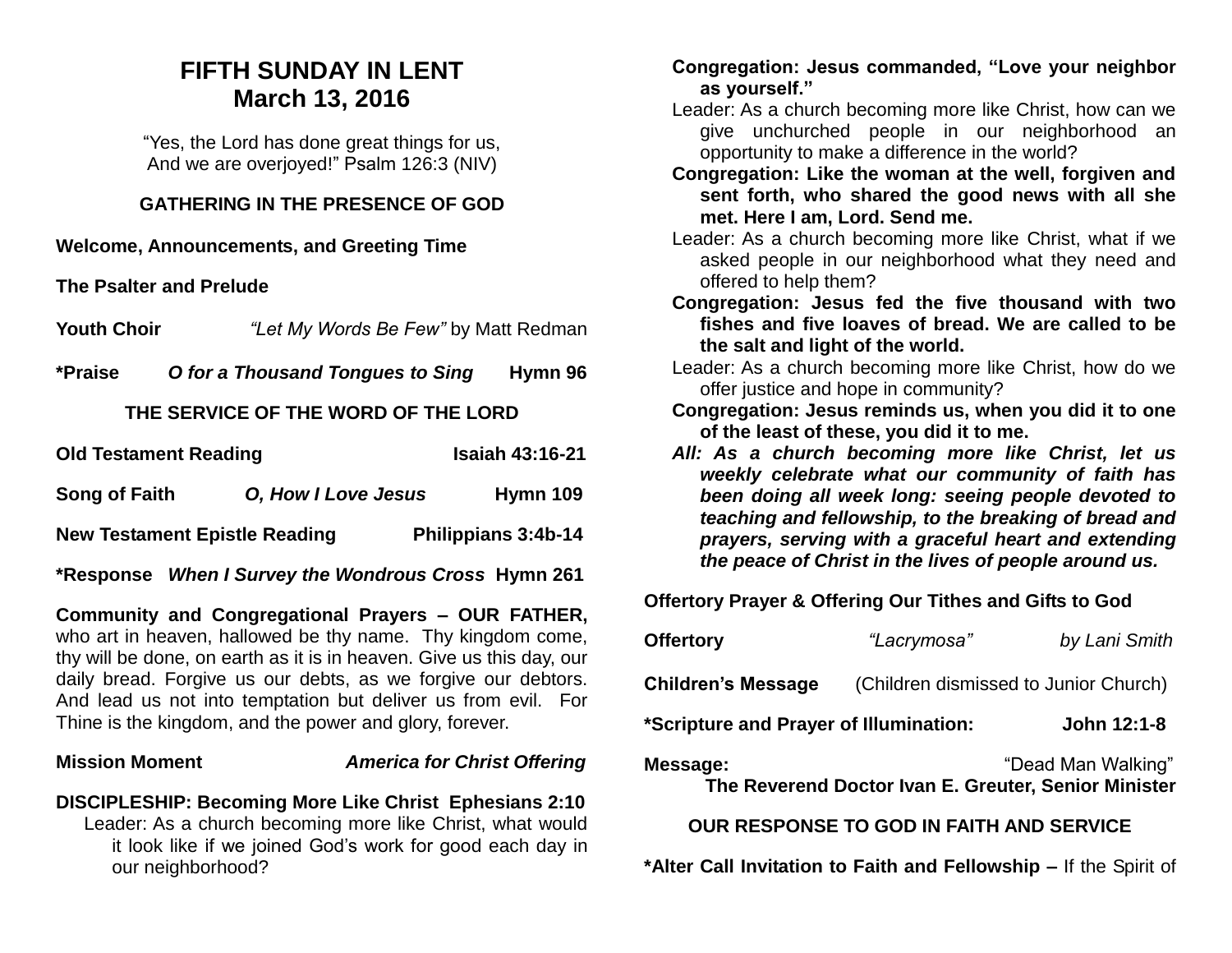## **FIFTH SUNDAY IN LENT March 13, 2016**

"Yes, the Lord has done great things for us, And we are overjoyed!" Psalm 126:3 (NIV)

#### **GATHERING IN THE PRESENCE OF GOD**

**Welcome, Announcements, and Greeting Time** 

**The Psalter and Prelude**

**Youth Choir** *"Let My Words Be Few"* by Matt Redman

**\*Praise** *O for a Thousand Tongues to Sing* **Hymn 96** 

### **THE SERVICE OF THE WORD OF THE LORD**

| <b>Old Testament Reading</b>         |                     | <b>Isaiah 43:16-21</b> |
|--------------------------------------|---------------------|------------------------|
| <b>Song of Faith</b>                 | O, How I Love Jesus | Hymn 109               |
| <b>New Testament Epistle Reading</b> |                     | Philippians 3:4b-14    |

**\*Response** *When I Survey the Wondrous Cross* **Hymn 261** 

**Community and Congregational Prayers – OUR FATHER,**  who art in heaven, hallowed be thy name. Thy kingdom come, thy will be done, on earth as it is in heaven. Give us this day, our daily bread. Forgive us our debts, as we forgive our debtors. And lead us not into temptation but deliver us from evil. For Thine is the kingdom, and the power and glory, forever.

#### **Mission Moment** *America for Christ Offering*

**DISCIPLESHIP: Becoming More Like Christ Ephesians 2:10** Leader: As a church becoming more like Christ, what would it look like if we joined God's work for good each day in our neighborhood?

#### **Congregation: Jesus commanded, "Love your neighbor as yourself."**

- Leader: As a church becoming more like Christ, how can we give unchurched people in our neighborhood an opportunity to make a difference in the world?
- **Congregation: Like the woman at the well, forgiven and sent forth, who shared the good news with all she met. Here I am, Lord. Send me.**
- Leader: As a church becoming more like Christ, what if we asked people in our neighborhood what they need and offered to help them?
- **Congregation: Jesus fed the five thousand with two fishes and five loaves of bread. We are called to be the salt and light of the world.**
- Leader: As a church becoming more like Christ, how do we offer justice and hope in community?
- **Congregation: Jesus reminds us, when you did it to one of the least of these, you did it to me.**
- *All: As a church becoming more like Christ, let us weekly celebrate what our community of faith has been doing all week long: seeing people devoted to teaching and fellowship, to the breaking of bread and prayers, serving with a graceful heart and extending the peace of Christ in the lives of people around us.*

**Offertory Prayer & Offering Our Tithes and Gifts to God**

| <b>Offertory</b>                       | "Lacrymosa"                                          | by Lani Smith      |
|----------------------------------------|------------------------------------------------------|--------------------|
| <b>Children's Message</b>              | (Children dismissed to Junior Church)                |                    |
| *Scripture and Prayer of Illumination: |                                                      | John 12:1-8        |
| Message:                               | The Reverend Doctor Ivan E. Greuter, Senior Minister | "Dead Man Walking" |

#### **OUR RESPONSE TO GOD IN FAITH AND SERVICE**

**\*Alter Call Invitation to Faith and Fellowship –** If the Spirit of